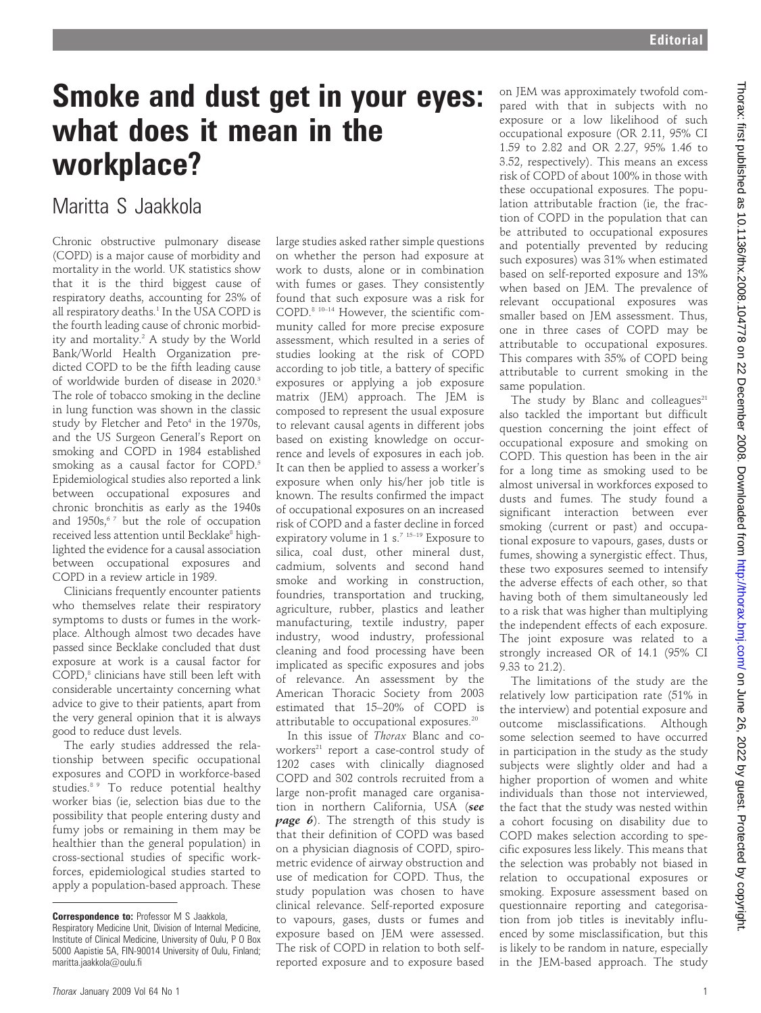## Smoke and dust get in your eyes: what does it mean in the workplace?

### Maritta S Jaakkola

Chronic obstructive pulmonary disease (COPD) is a major cause of morbidity and mortality in the world. UK statistics show that it is the third biggest cause of respiratory deaths, accounting for 23% of all respiratory deaths.<sup>1</sup> In the USA COPD is the fourth leading cause of chronic morbidity and mortality.2 A study by the World Bank/World Health Organization predicted COPD to be the fifth leading cause of worldwide burden of disease in 2020.3 The role of tobacco smoking in the decline in lung function was shown in the classic study by Fletcher and Peto<sup>4</sup> in the 1970s, and the US Surgeon General's Report on smoking and COPD in 1984 established smoking as a causal factor for COPD.<sup>5</sup> Epidemiological studies also reported a link between occupational exposures and chronic bronchitis as early as the 1940s and  $1950s$ ,  $67$  but the role of occupation received less attention until Becklake<sup>8</sup> highlighted the evidence for a causal association between occupational exposures and COPD in a review article in 1989.

Clinicians frequently encounter patients who themselves relate their respiratory symptoms to dusts or fumes in the workplace. Although almost two decades have passed since Becklake concluded that dust exposure at work is a causal factor for COPD,<sup>8</sup> clinicians have still been left with considerable uncertainty concerning what advice to give to their patients, apart from the very general opinion that it is always good to reduce dust levels.

The early studies addressed the relationship between specific occupational exposures and COPD in workforce-based studies.<sup>8 9</sup> To reduce potential healthy worker bias (ie, selection bias due to the possibility that people entering dusty and fumy jobs or remaining in them may be healthier than the general population) in cross-sectional studies of specific workforces, epidemiological studies started to apply a population-based approach. These

large studies asked rather simple questions on whether the person had exposure at work to dusts, alone or in combination with fumes or gases. They consistently found that such exposure was a risk for COPD.8 10–14 However, the scientific community called for more precise exposure assessment, which resulted in a series of studies looking at the risk of COPD according to job title, a battery of specific exposures or applying a job exposure matrix (JEM) approach. The JEM is composed to represent the usual exposure to relevant causal agents in different jobs based on existing knowledge on occurrence and levels of exposures in each job. It can then be applied to assess a worker's exposure when only his/her job title is known. The results confirmed the impact of occupational exposures on an increased risk of COPD and a faster decline in forced expiratory volume in 1 s.<sup>7</sup> <sup>15-19</sup> Exposure to silica, coal dust, other mineral dust, cadmium, solvents and second hand smoke and working in construction, foundries, transportation and trucking, agriculture, rubber, plastics and leather manufacturing, textile industry, paper industry, wood industry, professional cleaning and food processing have been implicated as specific exposures and jobs of relevance. An assessment by the American Thoracic Society from 2003 estimated that 15–20% of COPD is attributable to occupational exposures.<sup>20</sup>

In this issue of Thorax Blanc and coworkers $21$  report a case-control study of 1202 cases with clinically diagnosed COPD and 302 controls recruited from a large non-profit managed care organisation in northern California, USA (see **page 6**). The strength of this study is that their definition of COPD was based on a physician diagnosis of COPD, spirometric evidence of airway obstruction and use of medication for COPD. Thus, the study population was chosen to have clinical relevance. Self-reported exposure to vapours, gases, dusts or fumes and exposure based on JEM were assessed. The risk of COPD in relation to both selfreported exposure and to exposure based

on JEM was approximately twofold compared with that in subjects with no exposure or a low likelihood of such occupational exposure (OR 2.11, 95% CI 1.59 to 2.82 and OR 2.27, 95% 1.46 to 3.52, respectively). This means an excess risk of COPD of about 100% in those with these occupational exposures. The population attributable fraction (ie, the fraction of COPD in the population that can be attributed to occupational exposures and potentially prevented by reducing such exposures) was 31% when estimated based on self-reported exposure and 13% when based on JEM. The prevalence of relevant occupational exposures was smaller based on JEM assessment. Thus, one in three cases of COPD may be attributable to occupational exposures. This compares with 35% of COPD being attributable to current smoking in the same population.

The study by Blanc and colleagues $21$ also tackled the important but difficult question concerning the joint effect of occupational exposure and smoking on COPD. This question has been in the air for a long time as smoking used to be almost universal in workforces exposed to dusts and fumes. The study found a significant interaction between ever smoking (current or past) and occupational exposure to vapours, gases, dusts or fumes, showing a synergistic effect. Thus, these two exposures seemed to intensify the adverse effects of each other, so that having both of them simultaneously led to a risk that was higher than multiplying the independent effects of each exposure. The joint exposure was related to a strongly increased OR of 14.1 (95% CI 9.33 to 21.2).

The limitations of the study are the relatively low participation rate (51% in the interview) and potential exposure and outcome misclassifications. Although some selection seemed to have occurred in participation in the study as the study subjects were slightly older and had a higher proportion of women and white individuals than those not interviewed, the fact that the study was nested within a cohort focusing on disability due to COPD makes selection according to specific exposures less likely. This means that the selection was probably not biased in relation to occupational exposures or smoking. Exposure assessment based on questionnaire reporting and categorisation from job titles is inevitably influenced by some misclassification, but this is likely to be random in nature, especially in the JEM-based approach. The study

**Correspondence to: Professor M S Jaakkola,** Respiratory Medicine Unit, Division of Internal Medicine, Institute of Clinical Medicine, University of Oulu, P O Box 5000 Aapistie 5A, FIN-90014 University of Oulu, Finland; maritta.jaakkola@oulu.fi